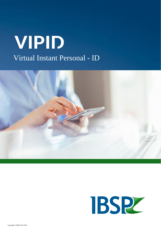## VIPID Virtual Instant Personal - ID



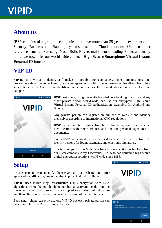## **VIPID**

### **About us**

IBSP contains of a group of companies that have more than 35 years of experiences in Security, Business and Banking systems based on Cloud solutions. With customer references such as Samsung, Nasa, Rolls Royce, major world leading Banks and many more, we now offer our world-wide clients a **High Secure Smartphone Virtual Instant Personal ID** function

#### **VIP-ID**

VIP-ID is a virtual e-identity and makes it possible for companies, banks, organisations, and government departments to identify and sign agreements with private persons online direct from their smart phone. VIP-ID is a virtual identification method such as electronic identification card or electronic passport.

![](_page_1_Picture_5.jpeg)

IBSP customers, using our white branded core banking platform and any other private person world-wide, can use our encrypted High Secure Virtual Instant Personal ID authentication, available for Android and iPhone.

Any private person can register on our secure website and identify themselves according to international KYC regulations.

IBSP offer private persons two basic functions, one for personal identification with Smart Phones and one for personal signatures of documents.

Our VIP-ID authentication can be used by clients at their websites to identify persons for login, payments, and electronic signatures.

The technology for the VIP-ID is based on encryption technology from our sister company Ardy Electronics Ltd, who has delivered high secure digital encryption solutions world-wide since 1986.

## **Setup**

Private persons can identify themselves at our website and after approved identification, download the App for Android or iPhone.

VIP-ID uses Public Key Infrastructure (PKI) encryption with RSA algorithms where the mobile phone number, an activation code from the issuer and a personal password is encrypted to an electronic signature and thereafter sent to the website as identification of the private person.

Each smart phone can only use one VIP-ID but each private person can have multiple VIP-ID on different devices.

![](_page_1_Picture_15.jpeg)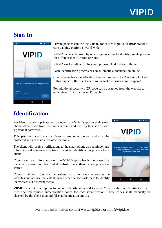## **VIPID**

### **Sign In**

![](_page_2_Picture_2.jpeg)

Private persons can use the VIP-ID for secure login to all IBSP branded core banking platforms world-wide.

VIP-ID can also be used by other organizations to identify private persons for different identification reasons.

VIP-ID works online for the smart phones; Android and iPhone.

Each identification process has an automatic authentication online.

Clients have three identification tries before the VIP-ID is being locked. If this happens, the client needs to contact the issuer admin support.

For additional security a QR-code can be scanned from the website to authenticate "Device Present" function.

## **Identification**

For identification a private person opens the VIP-ID app on their smart phone when asked from the issuer website and identify themselves with a personal password.

This password shall not be given to any other person and shall be protected and not visible for other persons.

The client will receive notifications to the smart phone as a reminder and information if someone else tries to start an identification process for a client.

Clients can read information on the VIP-ID app what is the reason for the identification and from what website the authentication process is started.

Clients shall only identify themselves from their own actions at the websites and not use the VIP-ID when other persons ask them to identify themselves via different media.

VIP-ID uses PKI encryption for secure identification and to avoid "man in the middle attacks" IBSP uses one-time visible authentication codes for each identification. These codes shall manually be checked by the client to avoid false authentication attacks.

For more information contact www.vipid.se or info@vipid.se

![](_page_2_Picture_17.jpeg)